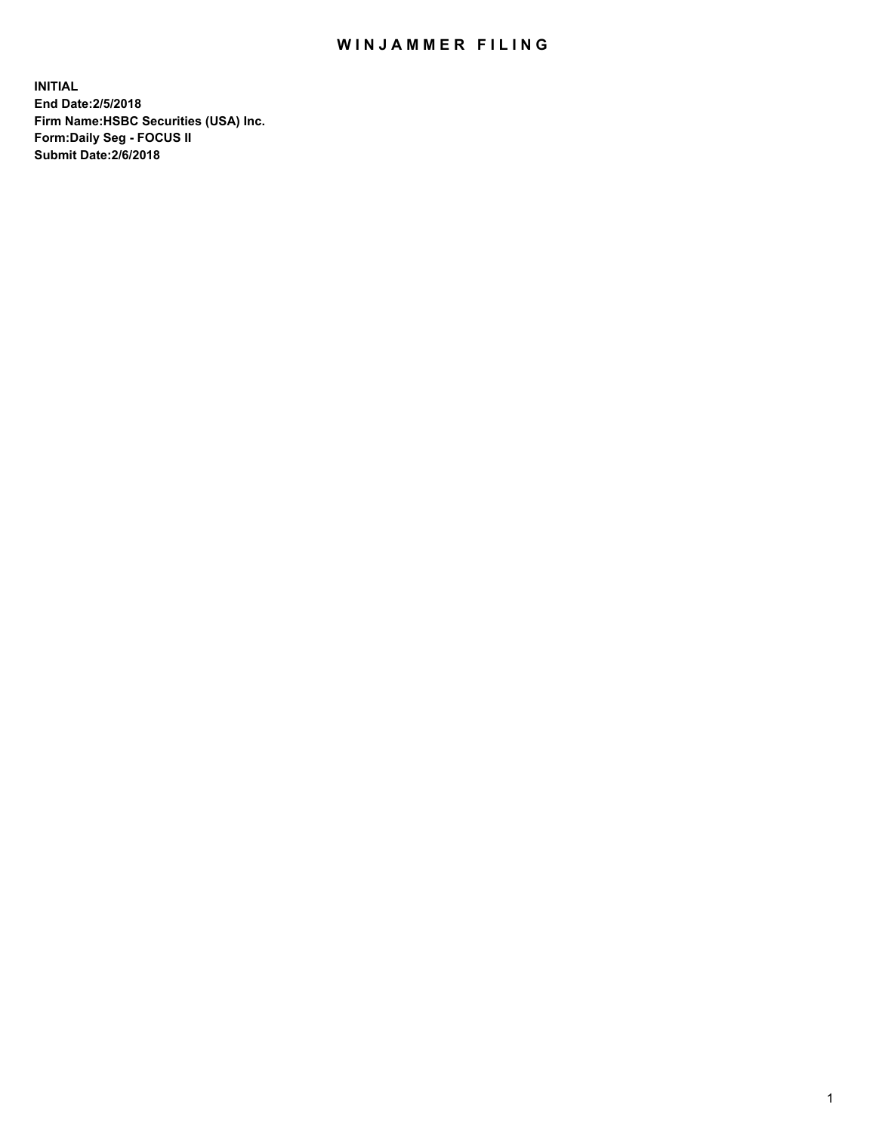## WIN JAMMER FILING

**INITIAL End Date:2/5/2018 Firm Name:HSBC Securities (USA) Inc. Form:Daily Seg - FOCUS II Submit Date:2/6/2018**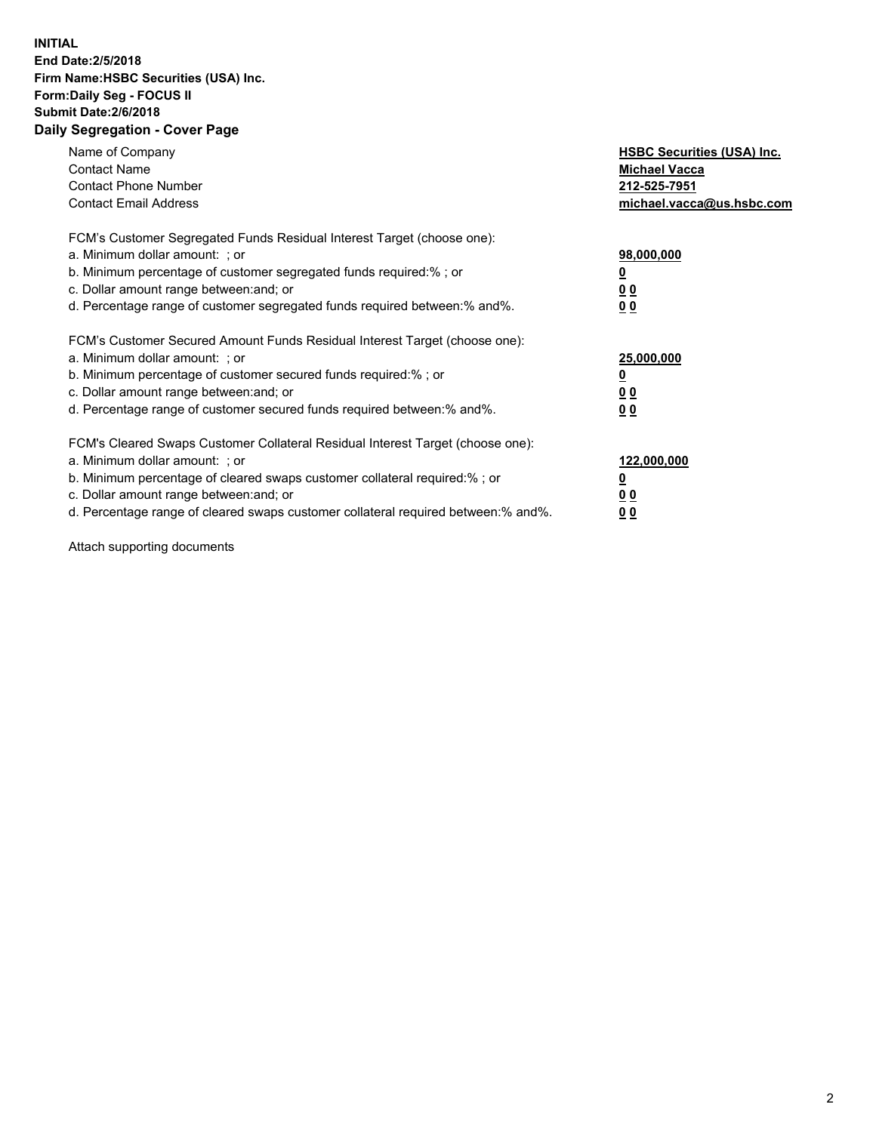## **INITIAL End Date:2/5/2018 Firm Name:HSBC Securities (USA) Inc. Form:Daily Seg - FOCUS II Submit Date:2/6/2018 Daily Segregation - Cover Page**

| Name of Company<br><b>Contact Name</b><br><b>Contact Phone Number</b><br><b>Contact Email Address</b>                                                                                                                                                                                                                         | <b>HSBC Securities (USA) Inc.</b><br><b>Michael Vacca</b><br>212-525-7951<br>michael.vacca@us.hsbc.com |
|-------------------------------------------------------------------------------------------------------------------------------------------------------------------------------------------------------------------------------------------------------------------------------------------------------------------------------|--------------------------------------------------------------------------------------------------------|
| FCM's Customer Segregated Funds Residual Interest Target (choose one):<br>a. Minimum dollar amount: ; or<br>b. Minimum percentage of customer segregated funds required:%; or<br>c. Dollar amount range between: and; or<br>d. Percentage range of customer segregated funds required between: % and %.                       | 98,000,000<br><u>0</u><br><u>00</u><br>00                                                              |
| FCM's Customer Secured Amount Funds Residual Interest Target (choose one):<br>a. Minimum dollar amount: ; or<br>b. Minimum percentage of customer secured funds required:%; or<br>c. Dollar amount range between: and; or<br>d. Percentage range of customer secured funds required between: % and %.                         | 25,000,000<br><u>0</u><br><u>00</u><br>00                                                              |
| FCM's Cleared Swaps Customer Collateral Residual Interest Target (choose one):<br>a. Minimum dollar amount: ; or<br>b. Minimum percentage of cleared swaps customer collateral required:%; or<br>c. Dollar amount range between: and; or<br>d. Percentage range of cleared swaps customer collateral required between:% and%. | 122,000,000<br><u>0</u><br><u>00</u><br><u>00</u>                                                      |

Attach supporting documents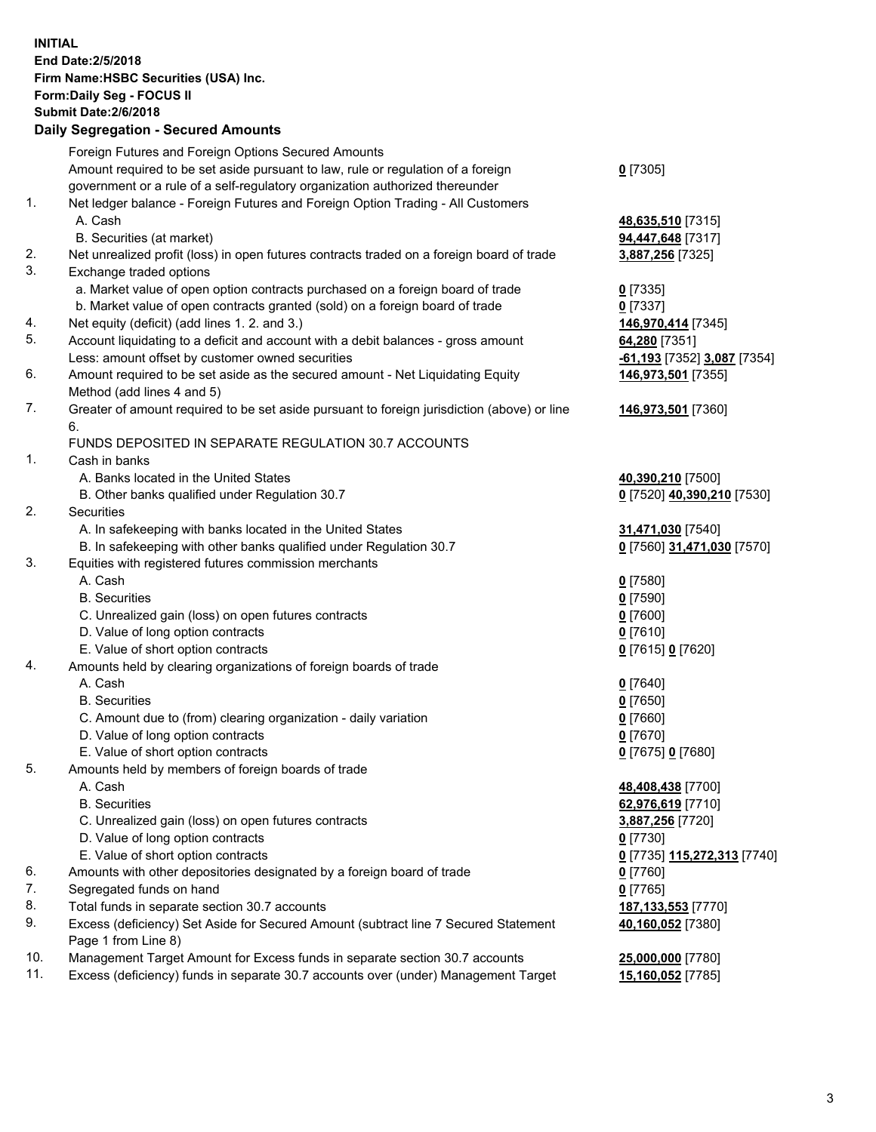**INITIAL End Date:2/5/2018 Firm Name:HSBC Securities (USA) Inc. Form:Daily Seg - FOCUS II Submit Date:2/6/2018 Daily Segregation - Secured Amounts** Foreign Futures and Foreign Options Secured Amounts Amount required to be set aside pursuant to law, rule or regulation of a foreign government or a rule of a self-regulatory organization authorized thereunder **0** [7305] 1. Net ledger balance - Foreign Futures and Foreign Option Trading - All Customers A. Cash **48,635,510** [7315] B. Securities (at market) **94,447,648** [7317] 2. Net unrealized profit (loss) in open futures contracts traded on a foreign board of trade **3,887,256** [7325] 3. Exchange traded options a. Market value of open option contracts purchased on a foreign board of trade **0** [7335] b. Market value of open contracts granted (sold) on a foreign board of trade **0** [7337] 4. Net equity (deficit) (add lines 1. 2. and 3.) **146,970,414** [7345] 5. Account liquidating to a deficit and account with a debit balances - gross amount **64,280** [7351] Less: amount offset by customer owned securities **-61,193** [7352] **3,087** [7354] 6. Amount required to be set aside as the secured amount - Net Liquidating Equity Method (add lines 4 and 5) **146,973,501** [7355] 7. Greater of amount required to be set aside pursuant to foreign jurisdiction (above) or line 6. **146,973,501** [7360] FUNDS DEPOSITED IN SEPARATE REGULATION 30.7 ACCOUNTS 1. Cash in banks A. Banks located in the United States **40,390,210** [7500] B. Other banks qualified under Regulation 30.7 **0** [7520] **40,390,210** [7530] 2. Securities A. In safekeeping with banks located in the United States **31,471,030** [7540] B. In safekeeping with other banks qualified under Regulation 30.7 **0** [7560] **31,471,030** [7570] 3. Equities with registered futures commission merchants A. Cash **0** [7580] B. Securities **0** [7590] C. Unrealized gain (loss) on open futures contracts **0** [7600] D. Value of long option contracts **0** [7610] E. Value of short option contracts **0** [7615] **0** [7620] 4. Amounts held by clearing organizations of foreign boards of trade A. Cash **0** [7640] B. Securities **0** [7650] C. Amount due to (from) clearing organization - daily variation **0** [7660] D. Value of long option contracts **0** [7670] E. Value of short option contracts **0** [7675] **0** [7680] 5. Amounts held by members of foreign boards of trade A. Cash **48,408,438** [7700] B. Securities **62,976,619** [7710] C. Unrealized gain (loss) on open futures contracts **3,887,256** [7720] D. Value of long option contracts **0** [7730] E. Value of short option contracts **0** [7735] **115,272,313** [7740] 6. Amounts with other depositories designated by a foreign board of trade **0** [7760] 7. Segregated funds on hand **0** [7765] 8. Total funds in separate section 30.7 accounts **187,133,553** [7770] 9. Excess (deficiency) Set Aside for Secured Amount (subtract line 7 Secured Statement Page 1 from Line 8) **40,160,052** [7380] 10. Management Target Amount for Excess funds in separate section 30.7 accounts **25,000,000** [7780] 11. Excess (deficiency) funds in separate 30.7 accounts over (under) Management Target **15,160,052** [7785]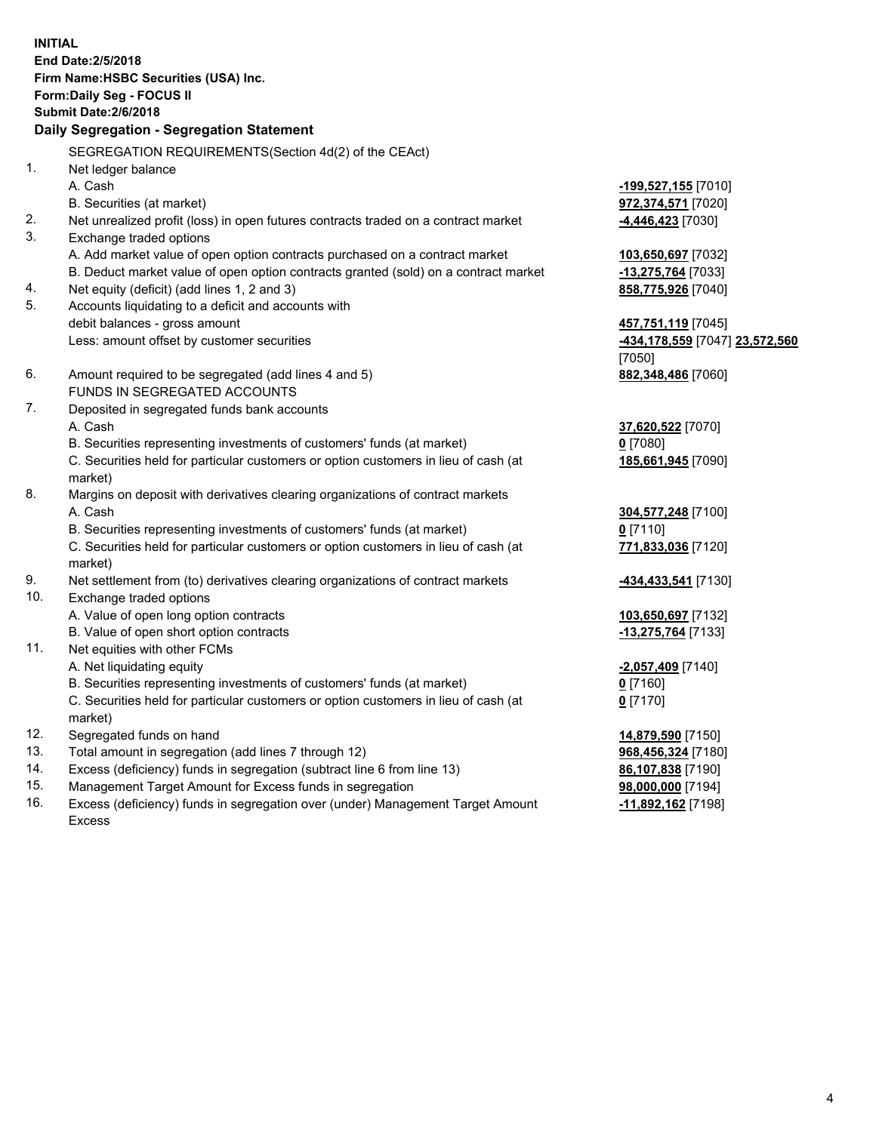| <b>INITIAL</b>                            |                                                                                     |                                |  |  |  |  |
|-------------------------------------------|-------------------------------------------------------------------------------------|--------------------------------|--|--|--|--|
| End Date: 2/5/2018                        |                                                                                     |                                |  |  |  |  |
| Firm Name: HSBC Securities (USA) Inc.     |                                                                                     |                                |  |  |  |  |
| Form: Daily Seg - FOCUS II                |                                                                                     |                                |  |  |  |  |
| <b>Submit Date: 2/6/2018</b>              |                                                                                     |                                |  |  |  |  |
| Daily Segregation - Segregation Statement |                                                                                     |                                |  |  |  |  |
|                                           | SEGREGATION REQUIREMENTS(Section 4d(2) of the CEAct)                                |                                |  |  |  |  |
| 1.                                        | Net ledger balance                                                                  |                                |  |  |  |  |
|                                           | A. Cash                                                                             | -199,527,155 [7010]            |  |  |  |  |
|                                           | B. Securities (at market)                                                           | 972,374,571 [7020]             |  |  |  |  |
| 2.                                        | Net unrealized profit (loss) in open futures contracts traded on a contract market  | 4,446,423 [7030]               |  |  |  |  |
| 3.                                        | Exchange traded options                                                             |                                |  |  |  |  |
|                                           | A. Add market value of open option contracts purchased on a contract market         | 103,650,697 [7032]             |  |  |  |  |
|                                           | B. Deduct market value of open option contracts granted (sold) on a contract market | -13,275,764 [7033]             |  |  |  |  |
| 4.                                        | Net equity (deficit) (add lines 1, 2 and 3)                                         | 858,775,926 [7040]             |  |  |  |  |
| 5.                                        | Accounts liquidating to a deficit and accounts with                                 |                                |  |  |  |  |
|                                           | debit balances - gross amount                                                       | 457,751,119 [7045]             |  |  |  |  |
|                                           | Less: amount offset by customer securities                                          | -434,178,559 [7047] 23,572,560 |  |  |  |  |
|                                           |                                                                                     | $[7050]$                       |  |  |  |  |
| 6.                                        | Amount required to be segregated (add lines 4 and 5)                                | 882,348,486 [7060]             |  |  |  |  |
|                                           | FUNDS IN SEGREGATED ACCOUNTS                                                        |                                |  |  |  |  |
| 7.                                        | Deposited in segregated funds bank accounts                                         |                                |  |  |  |  |
|                                           | A. Cash                                                                             | 37,620,522 [7070]              |  |  |  |  |
|                                           | B. Securities representing investments of customers' funds (at market)              | $0$ [7080]                     |  |  |  |  |
|                                           | C. Securities held for particular customers or option customers in lieu of cash (at | 185,661,945 [7090]             |  |  |  |  |
|                                           | market)                                                                             |                                |  |  |  |  |
| 8.                                        | Margins on deposit with derivatives clearing organizations of contract markets      |                                |  |  |  |  |
|                                           | A. Cash                                                                             | 304,577,248 [7100]             |  |  |  |  |
|                                           | B. Securities representing investments of customers' funds (at market)              | $0$ [7110]                     |  |  |  |  |
|                                           | C. Securities held for particular customers or option customers in lieu of cash (at | 771,833,036 [7120]             |  |  |  |  |
|                                           | market)                                                                             |                                |  |  |  |  |
| 9.                                        | Net settlement from (to) derivatives clearing organizations of contract markets     | -434,433,541 [7130]            |  |  |  |  |
| 10.                                       | Exchange traded options                                                             |                                |  |  |  |  |
|                                           | A. Value of open long option contracts                                              | 103,650,697 [7132]             |  |  |  |  |
|                                           | B. Value of open short option contracts                                             | -13,275,764 [7133]             |  |  |  |  |
| 11.                                       | Net equities with other FCMs                                                        |                                |  |  |  |  |
|                                           | A. Net liquidating equity                                                           | -2,057,409 [7140]              |  |  |  |  |
|                                           | B. Securities representing investments of customers' funds (at market)              | $0$ [7160]                     |  |  |  |  |
|                                           | C. Securities held for particular customers or option customers in lieu of cash (at | $0$ [7170]                     |  |  |  |  |
|                                           | market)                                                                             |                                |  |  |  |  |
| 12.                                       | Segregated funds on hand                                                            | 14,879,590 [7150]              |  |  |  |  |
| 13.                                       | Total amount in segregation (add lines 7 through 12)                                | 968,456,324 [7180]             |  |  |  |  |
| 14.                                       | Excess (deficiency) funds in segregation (subtract line 6 from line 13)             | 86,107,838 [7190]              |  |  |  |  |
| 15.                                       | Management Target Amount for Excess funds in segregation                            | 98,000,000 [7194]              |  |  |  |  |
| 16.                                       | Excess (deficiency) funds in segregation over (under) Management Target Amount      | 11,892,162 [7198]              |  |  |  |  |

Excess